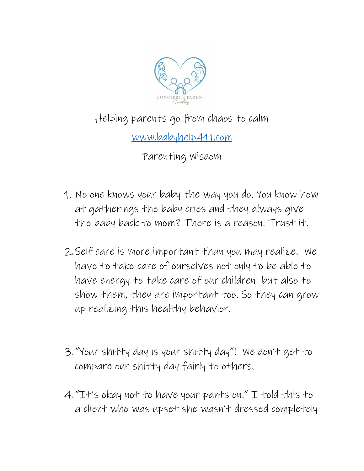

## Helping parents go from chaos to calm

[www.babyhelp411.com](http://www.babyhelp411.com/)

Parenting Wisdom

- 1. No one knows your baby the way you do. You know how at gatherings the baby cries and they always give the baby back to mom? There is a reason. Trust it.
- 2.Self care is more important than you may realize. We have to take care of ourselves not only to be able to have energy to take care of our children but also to show them, they are important too. So they can grow up realizing this healthy behavior.
- 3."Your shitty day is your shitty day"! We don't get to compare our shitty day fairly to others.
- 4."It's okay not to have your pants on." I told this to a client who was upset she wasn't dressed completely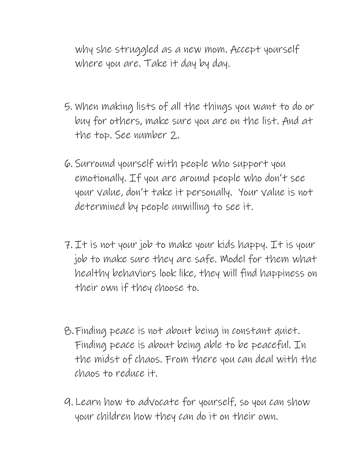why she struggled as a new mom. Accept yourself where you are. Take it day by day.

- 5. When making lists of all the things you want to do or buy for others, make sure you are on the list. And at the top. See number 2.
- 6. Surround yourself with people who support you emotionally. If you are around people who don't see your value, don't take it personally. Your value is not determined by people unwilling to see it.
- 7. It is not your job to make your kids happy. It is your job to make sure they are safe. Model for them what healthy behaviors look like, they will find happiness on their own if they choose to.
- 8.Finding peace is not about being in constant quiet. Finding peace is about being able to be peaceful. In the midst of chaos. From there you can deal with the chaos to reduce it.
- 9. Learn how to advocate for yourself, so you can show your children how they can do it on their own.